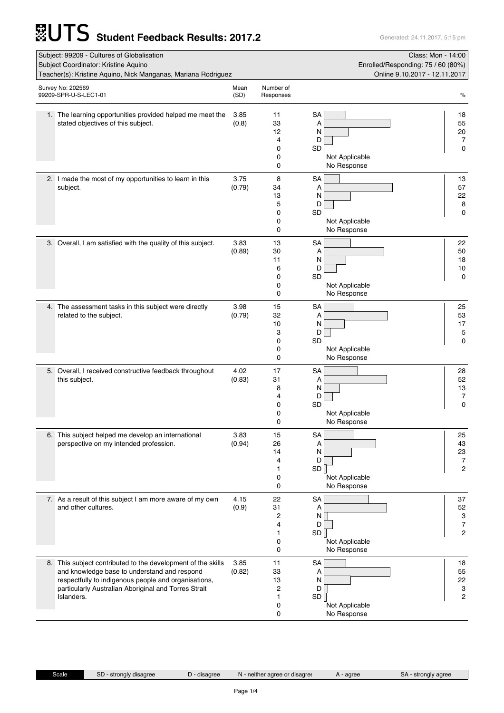## **Student Feedback Results: 2017.2** Generated: 24.11.2017, 5:15 pm

| Subject: 99209 - Cultures of Globalisation<br>Subject Coordinator: Kristine Aquino<br>Teacher(s): Kristine Aquino, Nick Manganas, Mariana Rodriguez |                                                                                                                                                                                                                                            |                |                                                 | Class: Mon - 14:00<br>Enrolled/Responding: 75 / 60 (80%)<br>Online 9.10.2017 - 12.11.2017 |                                                   |
|-----------------------------------------------------------------------------------------------------------------------------------------------------|--------------------------------------------------------------------------------------------------------------------------------------------------------------------------------------------------------------------------------------------|----------------|-------------------------------------------------|-------------------------------------------------------------------------------------------|---------------------------------------------------|
|                                                                                                                                                     | Survey No: 202569<br>99209-SPR-U-S-LEC1-01                                                                                                                                                                                                 | Mean<br>(SD)   | Number of<br>Responses                          |                                                                                           | $\%$                                              |
|                                                                                                                                                     | 1. The learning opportunities provided helped me meet the<br>stated objectives of this subject.                                                                                                                                            | 3.85<br>(0.8)  | 11<br>33<br>12<br>4<br>0<br>0<br>0              | SA<br>Α<br>N<br>D<br>SD<br>Not Applicable<br>No Response                                  | 18<br>55<br>20<br>7<br>0                          |
|                                                                                                                                                     | 2. I made the most of my opportunities to learn in this<br>subject.                                                                                                                                                                        | 3.75<br>(0.79) | 8<br>34<br>13<br>5<br>0<br>0<br>0               | <b>SA</b><br>Α<br>N<br>D<br>SD<br>Not Applicable<br>No Response                           | 13<br>57<br>22<br>8<br>0                          |
|                                                                                                                                                     | 3. Overall, I am satisfied with the quality of this subject.                                                                                                                                                                               | 3.83<br>(0.89) | 13<br>30<br>11<br>6<br>0<br>0<br>$\mathbf 0$    | SA<br>Α<br>N<br>D<br>SD<br>Not Applicable<br>No Response                                  | 22<br>50<br>18<br>10<br>0                         |
|                                                                                                                                                     | 4. The assessment tasks in this subject were directly<br>related to the subject.                                                                                                                                                           | 3.98<br>(0.79) | 15<br>32<br>10<br>3<br>0<br>0<br>0              | <b>SA</b><br>Α<br>N<br>D<br>SD<br>Not Applicable<br>No Response                           | 25<br>53<br>17<br>5<br>0                          |
|                                                                                                                                                     | 5. Overall, I received constructive feedback throughout<br>this subject.                                                                                                                                                                   | 4.02<br>(0.83) | 17<br>31<br>8<br>4<br>0<br>0<br>0               | SA<br>Α<br>N<br>D<br>SD<br>Not Applicable<br>No Response                                  | 28<br>52<br>13<br>7<br>$\mathbf 0$                |
|                                                                                                                                                     | 6. This subject helped me develop an international<br>perspective on my intended profession.                                                                                                                                               | 3.83<br>(0.94) | 15<br>26<br>14<br>4<br>1<br>0<br>0              | SA<br>Α<br>N<br>D<br>SD<br>Not Applicable<br>No Response                                  | 25<br>43<br>23<br>7<br>$\overline{c}$             |
|                                                                                                                                                     | 7. As a result of this subject I am more aware of my own<br>and other cultures.                                                                                                                                                            | 4.15<br>(0.9)  | 22<br>31<br>2<br>4<br>1<br>0<br>0               | <b>SA</b><br>Α<br>N<br>D<br>SD<br>Not Applicable<br>No Response                           | 37<br>52<br>3<br>$\boldsymbol{7}$<br>$\mathbf{2}$ |
|                                                                                                                                                     | 8. This subject contributed to the development of the skills<br>and knowledge base to understand and respond<br>respectfully to indigenous people and organisations,<br>particularly Australian Aboriginal and Torres Strait<br>Islanders. | 3.85<br>(0.82) | 11<br>33<br>13<br>$\overline{c}$<br>1<br>0<br>0 | <b>SA</b><br>Α<br>N<br>D<br>SD<br>Not Applicable<br>No Response                           | 18<br>55<br>22<br>3<br>$\mathbf{2}$               |

Scale SD - strongly disagree D - disagree N - neither agree or disagree A - agree SA - strongly agree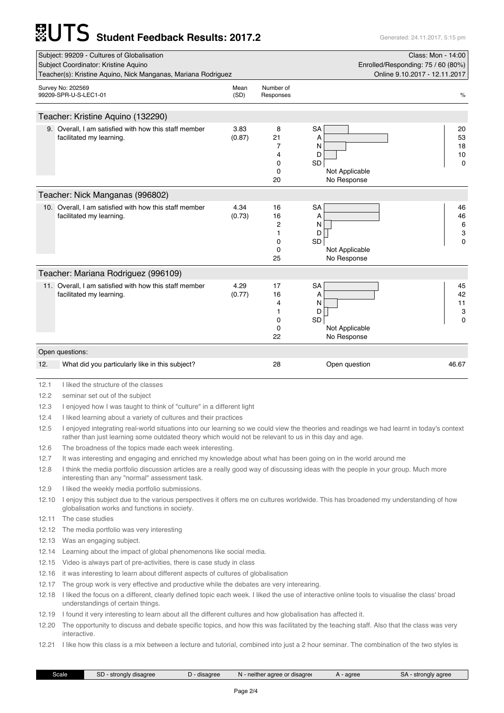## **Student Feedback Results: 2017.2** Generated: 24.11.2017, 5:15 pm

|       | Subject: 99209 - Cultures of Globalisation<br>Subject Coordinator: Kristine Aquino                                                                                                                                                                 |                |                      | Enrolled/Responding: 75 / 60 (80%) | Class: Mon - 14:00            |  |
|-------|----------------------------------------------------------------------------------------------------------------------------------------------------------------------------------------------------------------------------------------------------|----------------|----------------------|------------------------------------|-------------------------------|--|
|       | Teacher(s): Kristine Aquino, Nick Manganas, Mariana Rodriguez                                                                                                                                                                                      |                |                      |                                    | Online 9.10.2017 - 12.11.2017 |  |
|       | Survey No: 202569                                                                                                                                                                                                                                  | Mean           | Number of            |                                    |                               |  |
|       | 99209-SPR-U-S-LEC1-01                                                                                                                                                                                                                              | (SD)           | Responses            |                                    | %                             |  |
|       |                                                                                                                                                                                                                                                    |                |                      |                                    |                               |  |
|       | Teacher: Kristine Aquino (132290)                                                                                                                                                                                                                  |                |                      |                                    |                               |  |
|       | 9. Overall, I am satisfied with how this staff member                                                                                                                                                                                              | 3.83           | 8                    | <b>SA</b>                          | 20                            |  |
|       | facilitated my learning.                                                                                                                                                                                                                           | (0.87)         | 21<br>7              | Α<br>N                             | 53<br>18                      |  |
|       |                                                                                                                                                                                                                                                    |                | 4                    | D                                  | 10                            |  |
|       |                                                                                                                                                                                                                                                    |                | 0                    | SD                                 | 0                             |  |
|       |                                                                                                                                                                                                                                                    |                | 0                    | Not Applicable                     |                               |  |
|       |                                                                                                                                                                                                                                                    |                | 20                   | No Response                        |                               |  |
|       | Teacher: Nick Manganas (996802)                                                                                                                                                                                                                    |                |                      |                                    |                               |  |
|       | 10. Overall, I am satisfied with how this staff member                                                                                                                                                                                             | 4.34           | 16                   | <b>SA</b>                          | 46                            |  |
|       | facilitated my learning.                                                                                                                                                                                                                           | (0.73)         | 16<br>$\overline{c}$ | Α<br>Ν                             | 46<br>6                       |  |
|       |                                                                                                                                                                                                                                                    |                | 1                    | D                                  | 3                             |  |
|       |                                                                                                                                                                                                                                                    |                | 0                    | SD                                 | 0                             |  |
|       |                                                                                                                                                                                                                                                    |                | 0<br>25              | Not Applicable<br>No Response      |                               |  |
|       |                                                                                                                                                                                                                                                    |                |                      |                                    |                               |  |
|       | Teacher: Mariana Rodriguez (996109)                                                                                                                                                                                                                |                |                      |                                    |                               |  |
|       | 11. Overall, I am satisfied with how this staff member<br>facilitated my learning.                                                                                                                                                                 | 4.29<br>(0.77) | 17<br>16             | SA<br>Α                            | 45<br>42                      |  |
|       |                                                                                                                                                                                                                                                    |                | 4                    | N                                  | 11                            |  |
|       |                                                                                                                                                                                                                                                    |                | 1                    | D                                  | 3                             |  |
|       |                                                                                                                                                                                                                                                    |                | 0<br>0               | SD<br>Not Applicable               | $\Omega$                      |  |
|       |                                                                                                                                                                                                                                                    |                | 22                   | No Response                        |                               |  |
|       | Open questions:                                                                                                                                                                                                                                    |                |                      |                                    |                               |  |
| 12.   | What did you particularly like in this subject?                                                                                                                                                                                                    |                | 28                   | Open question                      | 46.67                         |  |
|       |                                                                                                                                                                                                                                                    |                |                      |                                    |                               |  |
| 12.1  | I liked the structure of the classes                                                                                                                                                                                                               |                |                      |                                    |                               |  |
| 12.2  | seminar set out of the subject                                                                                                                                                                                                                     |                |                      |                                    |                               |  |
| 12.3  | I enjoyed how I was taught to think of "culture" in a different light                                                                                                                                                                              |                |                      |                                    |                               |  |
| 12.4  | I liked learning about a variety of cultures and their practices                                                                                                                                                                                   |                |                      |                                    |                               |  |
| 12.5  | I enjoyed integrating real-world situations into our learning so we could view the theories and readings we had learnt in today's context<br>rather than just learning some outdated theory which would not be relevant to us in this day and age. |                |                      |                                    |                               |  |
| 12.6  | The broadness of the topics made each week interesting.                                                                                                                                                                                            |                |                      |                                    |                               |  |
| 12.7  | It was interesting and engaging and enriched my knowledge about what has been going on in the world around me                                                                                                                                      |                |                      |                                    |                               |  |
| 12.8  | I think the media portfolio discussion articles are a really good way of discussing ideas with the people in your group. Much more<br>interesting than any "normal" assessment task.                                                               |                |                      |                                    |                               |  |
| 12.9  | I liked the weekly media portfolio submissions.                                                                                                                                                                                                    |                |                      |                                    |                               |  |
| 12.10 | I enjoy this subject due to the various perspectives it offers me on cultures worldwide. This has broadened my understanding of how<br>globalisation works and functions in society.                                                               |                |                      |                                    |                               |  |
| 12.11 | The case studies                                                                                                                                                                                                                                   |                |                      |                                    |                               |  |
| 12.12 | The media portfolio was very interesting                                                                                                                                                                                                           |                |                      |                                    |                               |  |

12.13 Was an engaging subject.

12.14 Learning about the impact of global phenomenons like social media.

12.15 Video is always part of pre-activities, there is case study in class

12.16 it was interesting to learn about different aspects of cultures of globalisation

12.17 The group work is very effective and productive while the debates are very interearing.

12.18 I liked the focus on a different, clearly defined topic each week. I liked the use of interactive online tools to visualise the class' broad understandings of certain things.

12.19 I found it very interesting to learn about all the different cultures and how globalisation has affected it.

12.20 The opportunity to discuss and debate specific topics, and how this was facilitated by the teaching staff. Also that the class was very interactive.

12.21 I like how this class is a mix between a lecture and tutorial, combined into just a 2 hour seminar. The combination of the two styles is

| 3cale | חר<br>disagree<br>strong.<br>י ור | disagree | aaree or disaaree<br>neither<br>N | agree | $n_{\Lambda}$<br>strongly agree<br>٥r<br>. . |
|-------|-----------------------------------|----------|-----------------------------------|-------|----------------------------------------------|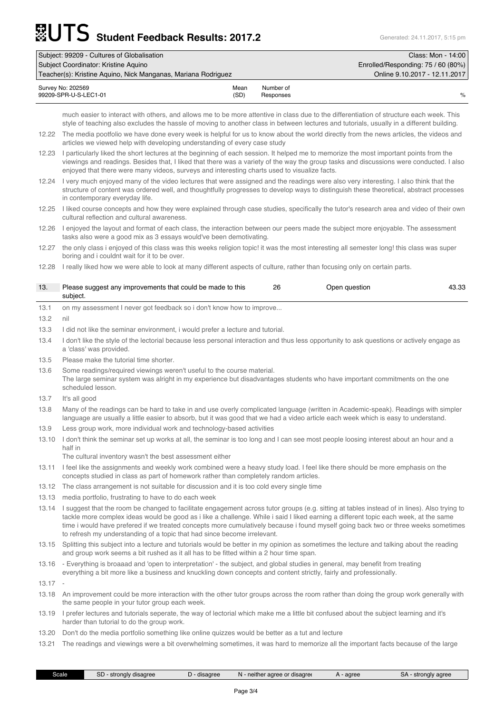## **Student Feedback Results: 2017.2** Generated: 24.11.2017, 5:15 pm

| Subject: 99209 - Cultures of Globalisation                    |                                    |                        | Class: Mon - 14:00 |
|---------------------------------------------------------------|------------------------------------|------------------------|--------------------|
| Subject Coordinator: Kristine Aguino                          | Enrolled/Responding: 75 / 60 (80%) |                        |                    |
| Teacher(s): Kristine Aguino, Nick Manganas, Mariana Rodriguez | Online 9.10.2017 - 12.11.2017      |                        |                    |
| Survey No: 202569<br>99209-SPR-U-S-LEC1-01                    | Mean<br>(SD)                       | Number of<br>Responses | $\%$               |

much easier to interact with others, and allows me to be more attentive in class due to the differentiation of structure each week. This style of teaching also excludes the hassle of moving to another class in between lectures and tutorials, usually in a different building.

- 12.22 The media pootfolio we have done every week is helpful for us to know about the world directly from the news articles, the videos and articles we viewed help with developing understanding of every case study
- 12.23 I particularly liked the short lectures at the beginning of each session. It helped me to memorize the most important points from the viewings and readings. Besides that, I liked that there was a variety of the way the group tasks and discussions were conducted. I also enjoyed that there were many videos, surveys and interesting charts used to visualize facts.
- 12.24 I very much enjoyed many of the video lectures that were assigned and the readings were also very interesting. I also think that the structure of content was ordered well, and thoughtfully progresses to develop ways to distinguish these theoretical, abstract processes in contemporary everyday life.
- 12.25 I liked course concepts and how they were explained through case studies, specifically the tutor's research area and video of their own cultural reflection and cultural awareness.
- 12.26 I enjoyed the layout and format of each class, the interaction between our peers made the subject more enjoyable. The assessment tasks also were a good mix as 3 essays would've been demotivating.
- 12.27 the only class i enjoyed of this class was this weeks religion topic! it was the most interesting all semester long! this class was super boring and i couldnt wait for it to be over.
- 

|           | 12.28 I really liked how we were able to look at many different aspects of culture, rather than focusing only on certain parts.                                                                                                                                                                                                                                                                                                                                                                        |    |               |       |  |  |
|-----------|--------------------------------------------------------------------------------------------------------------------------------------------------------------------------------------------------------------------------------------------------------------------------------------------------------------------------------------------------------------------------------------------------------------------------------------------------------------------------------------------------------|----|---------------|-------|--|--|
| 13.       | Please suggest any improvements that could be made to this<br>subject.                                                                                                                                                                                                                                                                                                                                                                                                                                 | 26 | Open question | 43.33 |  |  |
| 13.1      | on my assessment I never got feedback so i don't know how to improve                                                                                                                                                                                                                                                                                                                                                                                                                                   |    |               |       |  |  |
| 13.2      | nil                                                                                                                                                                                                                                                                                                                                                                                                                                                                                                    |    |               |       |  |  |
| 13.3      | I did not like the seminar environment, i would prefer a lecture and tutorial.                                                                                                                                                                                                                                                                                                                                                                                                                         |    |               |       |  |  |
| 13.4      | I don't like the style of the lectorial because less personal interaction and thus less opportunity to ask questions or actively engage as<br>a 'class' was provided.                                                                                                                                                                                                                                                                                                                                  |    |               |       |  |  |
| 13.5      | Please make the tutorial time shorter.                                                                                                                                                                                                                                                                                                                                                                                                                                                                 |    |               |       |  |  |
| 13.6      | Some readings/required viewings weren't useful to the course material.<br>The large seminar system was alright in my experience but disadvantages students who have important commitments on the one<br>scheduled lesson.                                                                                                                                                                                                                                                                              |    |               |       |  |  |
| 13.7      | It's all good                                                                                                                                                                                                                                                                                                                                                                                                                                                                                          |    |               |       |  |  |
| 13.8      | Many of the readings can be hard to take in and use overly complicated language (written in Academic-speak). Readings with simpler<br>language are usually a little easier to absorb, but it was good that we had a video article each week which is easy to understand.                                                                                                                                                                                                                               |    |               |       |  |  |
| 13.9      | Less group work, more individual work and technology-based activities                                                                                                                                                                                                                                                                                                                                                                                                                                  |    |               |       |  |  |
| 13.10     | I don't think the seminar set up works at all, the seminar is too long and I can see most people loosing interest about an hour and a<br>half in                                                                                                                                                                                                                                                                                                                                                       |    |               |       |  |  |
| 13.11     | The cultural inventory wasn't the best assessment either<br>I feel like the assignments and weekly work combined were a heavy study load. I feel like there should be more emphasis on the                                                                                                                                                                                                                                                                                                             |    |               |       |  |  |
|           | concepts studied in class as part of homework rather than completely random articles.                                                                                                                                                                                                                                                                                                                                                                                                                  |    |               |       |  |  |
| 13.12     | The class arrangement is not suitable for discussion and it is too cold every single time                                                                                                                                                                                                                                                                                                                                                                                                              |    |               |       |  |  |
| 13.13     | media portfolio, frustrating to have to do each week                                                                                                                                                                                                                                                                                                                                                                                                                                                   |    |               |       |  |  |
| 13.14     | I suggest that the room be changed to facilitate engagement across tutor groups (e.g. sitting at tables instead of in lines). Also trying to<br>tackle more complex ideas would be good as i like a challenge. While i said I liked earning a different topic each week, at the same<br>time i would have prefered if we treated concepts more cumulatively because i found myself going back two or three weeks sometimes<br>to refresh my understanding of a topic that had since become irrelevant. |    |               |       |  |  |
|           | 13.15 Splitting this subject into a lecture and tutorials would be better in my opinion as sometimes the lecture and talking about the reading<br>and group work seems a bit rushed as it all has to be fitted within a 2 hour time span.                                                                                                                                                                                                                                                              |    |               |       |  |  |
|           | 13.16 - Everything is broaaad and 'open to interpretation' - the subject, and global studies in general, may benefit from treating<br>everything a bit more like a business and knuckling down concepts and content strictly, fairly and professionally.                                                                                                                                                                                                                                               |    |               |       |  |  |
| $13.17 -$ |                                                                                                                                                                                                                                                                                                                                                                                                                                                                                                        |    |               |       |  |  |
| 13.18     | An improvement could be more interaction with the other tutor groups across the room rather than doing the group work generally with<br>the same people in your tutor group each week.                                                                                                                                                                                                                                                                                                                 |    |               |       |  |  |
| 13.19     | I prefer lectures and tutorials seperate, the way of lectorial which make me a little bit confused about the subject learning and it's<br>harder than tutorial to do the group work.                                                                                                                                                                                                                                                                                                                   |    |               |       |  |  |
| 13.20     | Don't do the media portfolio something like online quizzes would be better as a tut and lecture                                                                                                                                                                                                                                                                                                                                                                                                        |    |               |       |  |  |
| 13.21     | The readings and viewings were a bit overwhelming sometimes, it was hard to memorize all the important facts because of the large                                                                                                                                                                                                                                                                                                                                                                      |    |               |       |  |  |